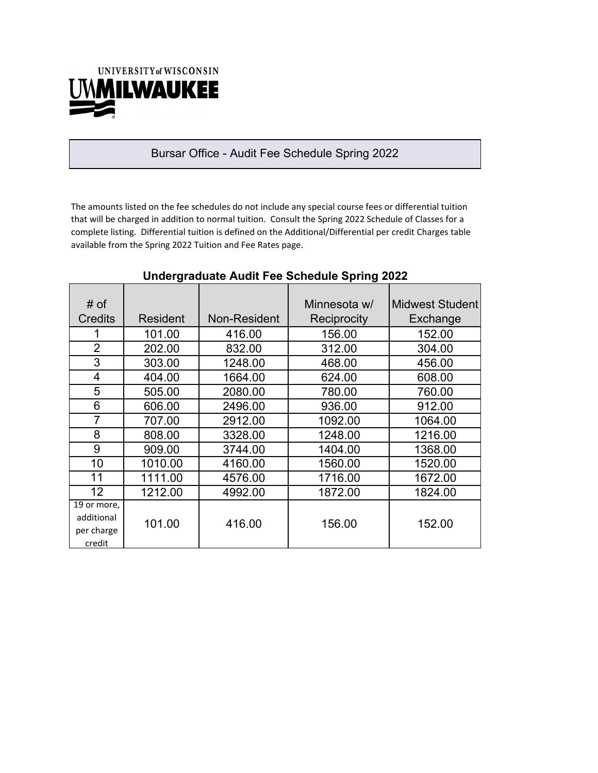

#### Bursar Office - Audit Fee Schedule Spring 2022

The amounts listed on the fee schedules do not include any special course fees or differential tuition that will be charged in addition to normal tuition. Consult the Spring 2022 Schedule of Classes for a complete listing. Differential tuition is defined on the Additional/Differential per credit Charges table available from the Spring 2022 Tuition and Fee Rates page.

| # of<br><b>Credits</b>                            | Resident | Non-Resident | Minnesota w/<br>Reciprocity | <b>Midwest Student</b><br>Exchange |
|---------------------------------------------------|----------|--------------|-----------------------------|------------------------------------|
|                                                   | 101.00   | 416.00       | 156.00                      | 152.00                             |
| 2                                                 | 202.00   | 832.00       | 312.00                      | 304.00                             |
| 3                                                 | 303.00   | 1248.00      | 468.00                      | 456.00                             |
| 4                                                 | 404.00   | 1664.00      | 624.00                      | 608.00                             |
| 5                                                 | 505.00   | 2080.00      | 780.00                      | 760.00                             |
| 6                                                 | 606.00   | 2496.00      | 936.00                      | 912.00                             |
| 7                                                 | 707.00   | 2912.00      | 1092.00                     | 1064.00                            |
| 8                                                 | 808.00   | 3328.00      | 1248.00                     | 1216.00                            |
| 9                                                 | 909.00   | 3744.00      | 1404.00                     | 1368.00                            |
| 10                                                | 1010.00  | 4160.00      | 1560.00                     | 1520.00                            |
| 11                                                | 1111.00  | 4576.00      | 1716.00                     | 1672.00                            |
| 12                                                | 1212.00  | 4992.00      | 1872.00                     | 1824.00                            |
| 19 or more,<br>additional<br>per charge<br>credit | 101.00   | 416.00       | 156.00                      | 152.00                             |

#### **Undergraduate Audit Fee Schedule Spring 2022**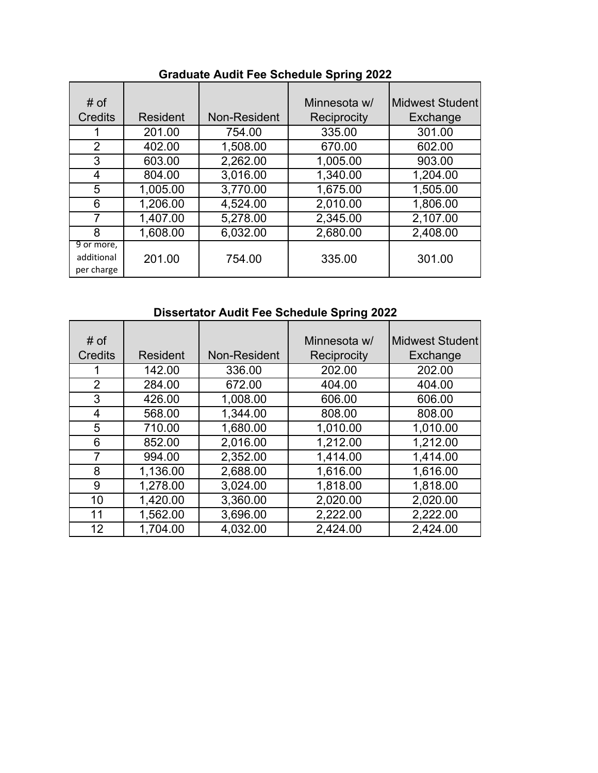| # of<br><b>Credits</b>                 | <b>Resident</b> | Non-Resident | Minnesota w/<br>Reciprocity | <b>Midwest Student</b><br>Exchange |
|----------------------------------------|-----------------|--------------|-----------------------------|------------------------------------|
|                                        | 201.00          | 754.00       | 335.00                      | 301.00                             |
| $\overline{2}$                         | 402.00          | 1,508.00     | 670.00                      | 602.00                             |
| 3                                      | 603.00          | 2,262.00     | 1,005.00                    | 903.00                             |
| 4                                      | 804.00          | 3,016.00     | 1,340.00                    | 1,204.00                           |
| 5                                      | 1,005.00        | 3,770.00     | 1,675.00                    | 1,505.00                           |
| 6                                      | 1,206.00        | 4,524.00     | 2,010.00                    | 1,806.00                           |
| 7                                      | 1,407.00        | 5,278.00     | 2,345.00                    | 2,107.00                           |
| 8                                      | 1,608.00        | 6,032.00     | 2,680.00                    | 2,408.00                           |
| 9 or more,<br>additional<br>per charge | 201.00          | 754.00       | 335.00                      | 301.00                             |

# **Graduate Audit Fee Schedule Spring 2022**

# **Dissertator Audit Fee Schedule Spring 2022**

| # of<br><b>Credits</b> | <b>Resident</b> | Non-Resident | Minnesota w/<br>Reciprocity | Midwest Student<br>Exchange |
|------------------------|-----------------|--------------|-----------------------------|-----------------------------|
|                        | 142.00          | 336.00       | 202.00                      | 202.00                      |
| $\overline{2}$         | 284.00          | 672.00       | 404.00                      | 404.00                      |
| 3                      | 426.00          | 1,008.00     | 606.00                      | 606.00                      |
| 4                      | 568.00          | 1,344.00     | 808.00                      | 808.00                      |
| 5                      | 710.00          | 1,680.00     | 1,010.00                    | 1,010.00                    |
| 6                      | 852.00          | 2,016.00     | 1,212.00                    | 1,212.00                    |
| 7                      | 994.00          | 2,352.00     | 1,414.00                    | 1,414.00                    |
| 8                      | 1,136.00        | 2,688.00     | 1,616.00                    | 1,616.00                    |
| 9                      | 1,278.00        | 3,024.00     | 1,818.00                    | 1,818.00                    |
| 10                     | 1,420.00        | 3,360.00     | 2,020.00                    | 2,020.00                    |
| 11                     | 1,562.00        | 3,696.00     | 2,222.00                    | 2,222.00                    |
| 12                     | 1,704.00        | 4.032.00     | 2,424.00                    | 2,424.00                    |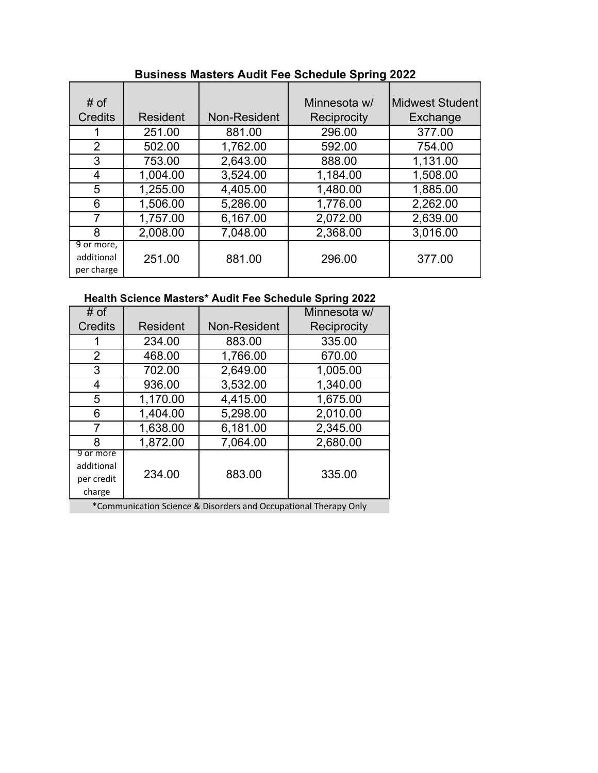| # of<br><b>Credits</b>                 | <b>Resident</b> | Non-Resident | Minnesota w/<br>Reciprocity | <b>Midwest Student</b><br>Exchange |
|----------------------------------------|-----------------|--------------|-----------------------------|------------------------------------|
|                                        | 251.00          | 881.00       | 296.00                      | 377.00                             |
| 2                                      | 502.00          | 1,762.00     | 592.00                      | 754.00                             |
| 3                                      | 753.00          | 2,643.00     | 888.00                      | 1,131.00                           |
| 4                                      | 1,004.00        | 3,524.00     | 1,184.00                    | 1,508.00                           |
| 5                                      | 1,255.00        | 4,405.00     | 1,480.00                    | 1,885.00                           |
| 6                                      | 1,506.00        | 5,286.00     | 1,776.00                    | 2,262.00                           |
| 7                                      | 1,757.00        | 6,167.00     | 2,072.00                    | 2,639.00                           |
| 8                                      | 2,008.00        | 7,048.00     | 2,368.00                    | 3,016.00                           |
| 9 or more,<br>additional<br>per charge | 251.00          | 881.00       | 296.00                      | 377.00                             |

## **Business Masters Audit Fee Schedule Spring 2022**

## **Health Science Masters\* Audit Fee Schedule Spring 2022**

| # of           |          |              | Minnesota w/ |
|----------------|----------|--------------|--------------|
| <b>Credits</b> | Resident | Non-Resident | Reciprocity  |
| 1              | 234.00   | 883.00       | 335.00       |
| $\overline{2}$ | 468.00   | 1,766.00     | 670.00       |
| 3              | 702.00   | 2,649.00     | 1,005.00     |
| 4              | 936.00   | 3,532.00     | 1,340.00     |
| 5              | 1,170.00 | 4,415.00     | 1,675.00     |
| 6              | 1,404.00 | 5,298.00     | 2,010.00     |
| 7              | 1,638.00 | 6,181.00     | 2,345.00     |
| 8              | 1,872.00 | 7,064.00     | 2,680.00     |
| 9 or more      |          |              |              |
| additional     | 234.00   | 883.00       | 335.00       |
| per credit     |          |              |              |
| charge         |          |              |              |

\*Communication Science & Disorders and Occupational Therapy Only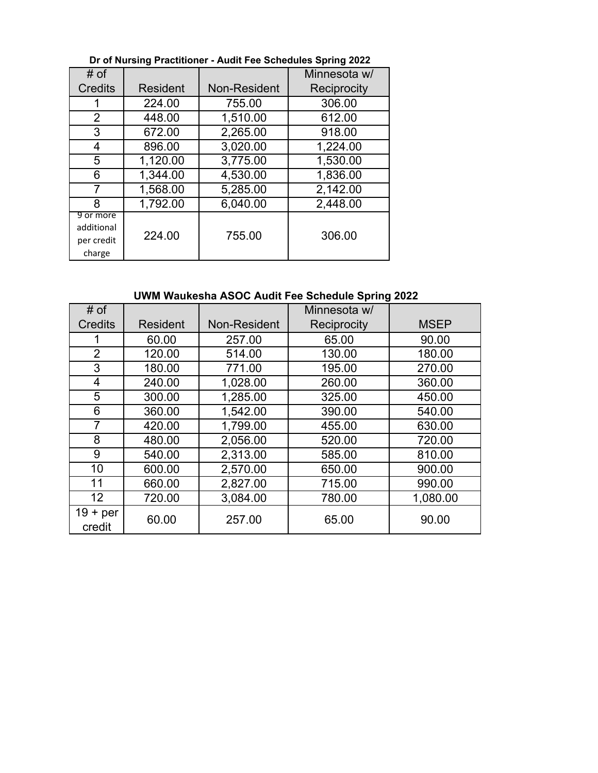| # of                                            |                 |                     | Minnesota w/ |
|-------------------------------------------------|-----------------|---------------------|--------------|
| <b>Credits</b>                                  | <b>Resident</b> | <b>Non-Resident</b> | Reciprocity  |
|                                                 | 224.00          | 755.00              | 306.00       |
| $\overline{2}$                                  | 448.00          | 1,510.00            | 612.00       |
| 3                                               | 672.00          | 2,265.00            | 918.00       |
| 4                                               | 896.00          | 3,020.00            | 1,224.00     |
| 5                                               | 1,120.00        | 3,775.00            | 1,530.00     |
| 6                                               | 1,344.00        | 4,530.00            | 1,836.00     |
| 7                                               | 1,568.00        | 5,285.00            | 2,142.00     |
| 8                                               | 1,792.00        | 6,040.00            | 2,448.00     |
| 9 or more<br>additional<br>per credit<br>charge | 224.00          | 755.00              | 306.00       |

#### **Dr of Nursing Practitioner - Audit Fee Schedules Spring 2022**

## **UWM Waukesha ASOC Audit Fee Schedule Spring 2022**

| # of                 |                 |              | Minnesota w/ |             |
|----------------------|-----------------|--------------|--------------|-------------|
| <b>Credits</b>       | <b>Resident</b> | Non-Resident | Reciprocity  | <b>MSEP</b> |
|                      | 60.00           | 257.00       | 65.00        | 90.00       |
| $\overline{2}$       | 120.00          | 514.00       | 130.00       | 180.00      |
| 3                    | 180.00          | 771.00       | 195.00       | 270.00      |
| 4                    | 240.00          | 1,028.00     | 260.00       | 360.00      |
| 5                    | 300.00          | 1,285.00     | 325.00       | 450.00      |
| 6                    | 360.00          | 1,542.00     | 390.00       | 540.00      |
| 7                    | 420.00          | 1,799.00     | 455.00       | 630.00      |
| 8                    | 480.00          | 2,056.00     | 520.00       | 720.00      |
| 9                    | 540.00          | 2,313.00     | 585.00       | 810.00      |
| 10                   | 600.00          | 2,570.00     | 650.00       | 900.00      |
| 11                   | 660.00          | 2,827.00     | 715.00       | 990.00      |
| 12 <sup>2</sup>      | 720.00          | 3,084.00     | 780.00       | 1,080.00    |
| $19 + per$<br>credit | 60.00           | 257.00       | 65.00        | 90.00       |